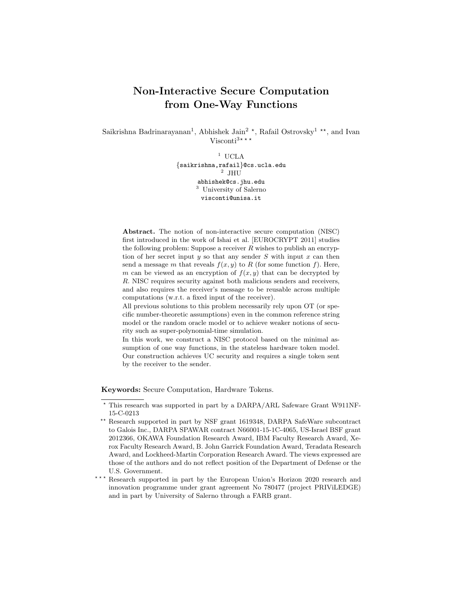# Non-Interactive Secure Computation from One-Way Functions

Saikrishna Badrinarayanan<sup>1</sup>, Abhishek Jain<sup>2</sup><sup>\*</sup>, Rafail Ostrovsky<sup>1</sup><sup>\*\*</sup>, and Ivan Visconti<sup>3\*\*\*</sup>

> $^{\rm 1}$  UCLA {saikrishna,rafail}@cs.ucla.edu 2 JHU abhishek@cs.jhu.edu <sup>3</sup> University of Salerno visconti@unisa.it

Abstract. The notion of non-interactive secure computation (NISC) first introduced in the work of Ishai et al. [EUROCRYPT 2011] studies the following problem: Suppose a receiver  $R$  wishes to publish an encryption of her secret input  $y$  so that any sender  $S$  with input  $x$  can then send a message m that reveals  $f(x, y)$  to R (for some function f). Here, m can be viewed as an encryption of  $f(x, y)$  that can be decrypted by R. NISC requires security against both malicious senders and receivers, and also requires the receiver's message to be reusable across multiple computations (w.r.t. a fixed input of the receiver).

All previous solutions to this problem necessarily rely upon OT (or specific number-theoretic assumptions) even in the common reference string model or the random oracle model or to achieve weaker notions of security such as super-polynomial-time simulation.

In this work, we construct a NISC protocol based on the minimal assumption of one way functions, in the stateless hardware token model. Our construction achieves UC security and requires a single token sent by the receiver to the sender.

Keywords: Secure Computation, Hardware Tokens.

<sup>?</sup> This research was supported in part by a DARPA/ARL Safeware Grant W911NF-15-C-0213

<sup>\*\*</sup> Research supported in part by NSF grant 1619348, DARPA SafeWare subcontract to Galois Inc., DARPA SPAWAR contract N66001-15-1C-4065, US-Israel BSF grant 2012366, OKAWA Foundation Research Award, IBM Faculty Research Award, Xerox Faculty Research Award, B. John Garrick Foundation Award, Teradata Research Award, and Lockheed-Martin Corporation Research Award. The views expressed are those of the authors and do not reflect position of the Department of Defense or the U.S. Government.

<sup>\*\*\*</sup> Research supported in part by the European Union's Horizon 2020 research and innovation programme under grant agreement No 780477 (project PRIViLEDGE) and in part by University of Salerno through a FARB grant.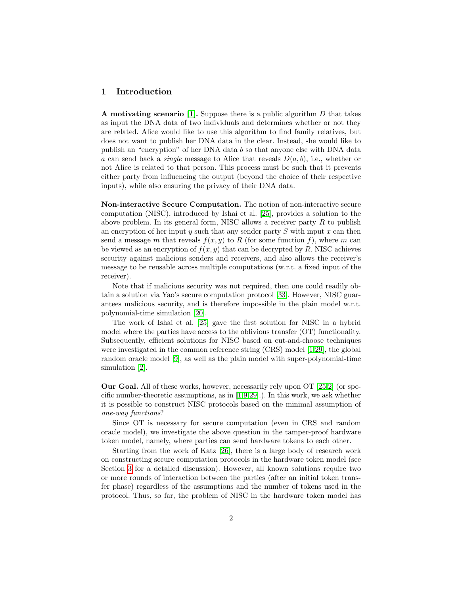## 1 Introduction

A motivating scenario [\[1\]](#page-17-0). Suppose there is a public algorithm  $D$  that takes as input the DNA data of two individuals and determines whether or not they are related. Alice would like to use this algorithm to find family relatives, but does not want to publish her DNA data in the clear. Instead, she would like to publish an "encryption" of her DNA data b so that anyone else with DNA data a can send back a *single* message to Alice that reveals  $D(a, b)$ , i.e., whether or not Alice is related to that person. This process must be such that it prevents either party from influencing the output (beyond the choice of their respective inputs), while also ensuring the privacy of their DNA data.

Non-interactive Secure Computation. The notion of non-interactive secure computation (NISC), introduced by Ishai et al. [\[25\]](#page-18-0), provides a solution to the above problem. In its general form, NISC allows a receiver party  $R$  to publish an encryption of her input  $y$  such that any sender party  $S$  with input  $x$  can then send a message m that reveals  $f(x, y)$  to R (for some function f), where m can be viewed as an encryption of  $f(x, y)$  that can be decrypted by R. NISC achieves security against malicious senders and receivers, and also allows the receiver's message to be reusable across multiple computations (w.r.t. a fixed input of the receiver).

Note that if malicious security was not required, then one could readily obtain a solution via Yao's secure computation protocol [\[33\]](#page-19-0). However, NISC guarantees malicious security, and is therefore impossible in the plain model w.r.t. polynomial-time simulation [\[20\]](#page-18-1).

The work of Ishai et al. [\[25\]](#page-18-0) gave the first solution for NISC in a hybrid model where the parties have access to the oblivious transfer (OT) functionality. Subsequently, efficient solutions for NISC based on cut-and-choose techniques were investigated in the common reference string (CRS) model [\[1,](#page-17-0)[29\]](#page-18-2), the global random oracle model [\[9\]](#page-18-3), as well as the plain model with super-polynomial-time simulation [\[2\]](#page-17-1).

Our Goal. All of these works, however, necessarily rely upon OT [\[25,](#page-18-0)[2\]](#page-17-1) (or specific number-theoretic assumptions, as in [\[1,](#page-17-0)[9,](#page-18-3)[29\]](#page-18-2).). In this work, we ask whether it is possible to construct NISC protocols based on the minimal assumption of one-way functions?

Since OT is necessary for secure computation (even in CRS and random oracle model), we investigate the above question in the tamper-proof hardware token model, namely, where parties can send hardware tokens to each other.

Starting from the work of Katz [\[26\]](#page-18-4), there is a large body of research work on constructing secure computation protocols in the hardware token model (see Section [3](#page-5-0) for a detailed discussion). However, all known solutions require two or more rounds of interaction between the parties (after an initial token transfer phase) regardless of the assumptions and the number of tokens used in the protocol. Thus, so far, the problem of NISC in the hardware token model has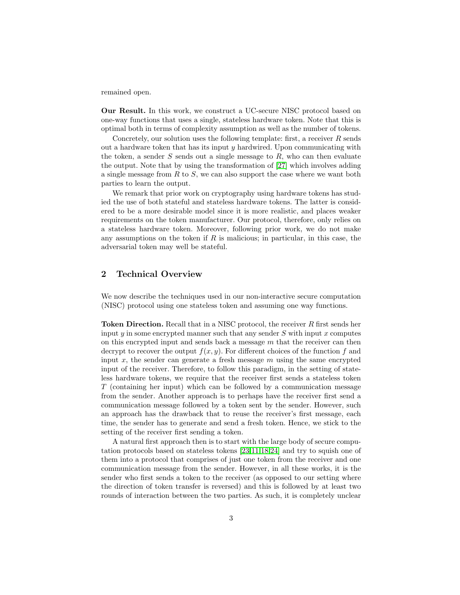remained open.

Our Result. In this work, we construct a UC-secure NISC protocol based on one-way functions that uses a single, stateless hardware token. Note that this is optimal both in terms of complexity assumption as well as the number of tokens.

Concretely, our solution uses the following template: first, a receiver  $R$  sends out a hardware token that has its input  $y$  hardwired. Upon communicating with the token, a sender  $S$  sends out a single message to  $R$ , who can then evaluate the output. Note that by using the transformation of [\[27\]](#page-18-5) which involves adding a single message from  $R$  to  $S$ , we can also support the case where we want both parties to learn the output.

We remark that prior work on cryptography using hardware tokens has studied the use of both stateful and stateless hardware tokens. The latter is considered to be a more desirable model since it is more realistic, and places weaker requirements on the token manufacturer. Our protocol, therefore, only relies on a stateless hardware token. Moreover, following prior work, we do not make any assumptions on the token if  $R$  is malicious; in particular, in this case, the adversarial token may well be stateful.

# 2 Technical Overview

We now describe the techniques used in our non-interactive secure computation (NISC) protocol using one stateless token and assuming one way functions.

**Token Direction.** Recall that in a NISC protocol, the receiver R first sends her input  $y$  in some encrypted manner such that any sender  $S$  with input  $x$  computes on this encrypted input and sends back a message  $m$  that the receiver can then decrypt to recover the output  $f(x, y)$ . For different choices of the function f and input  $x$ , the sender can generate a fresh message  $m$  using the same encrypted input of the receiver. Therefore, to follow this paradigm, in the setting of stateless hardware tokens, we require that the receiver first sends a stateless token T (containing her input) which can be followed by a communication message from the sender. Another approach is to perhaps have the receiver first send a communication message followed by a token sent by the sender. However, such an approach has the drawback that to reuse the receiver's first message, each time, the sender has to generate and send a fresh token. Hence, we stick to the setting of the receiver first sending a token.

A natural first approach then is to start with the large body of secure computation protocols based on stateless tokens [\[23,](#page-18-6)[11,](#page-18-7)[18](#page-18-8)[,24\]](#page-18-9) and try to squish one of them into a protocol that comprises of just one token from the receiver and one communication message from the sender. However, in all these works, it is the sender who first sends a token to the receiver (as opposed to our setting where the direction of token transfer is reversed) and this is followed by at least two rounds of interaction between the two parties. As such, it is completely unclear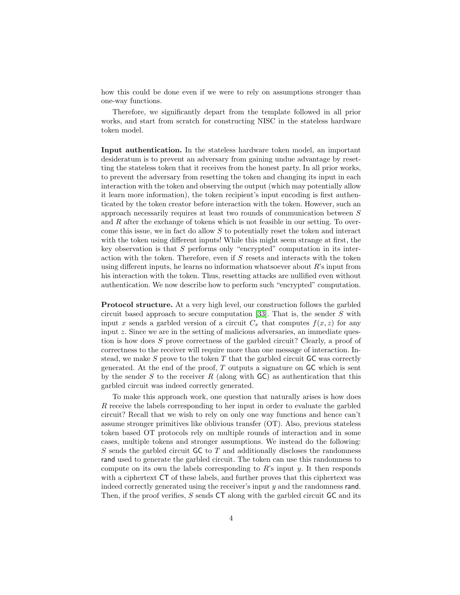how this could be done even if we were to rely on assumptions stronger than one-way functions.

Therefore, we significantly depart from the template followed in all prior works, and start from scratch for constructing NISC in the stateless hardware token model.

Input authentication. In the stateless hardware token model, an important desideratum is to prevent an adversary from gaining undue advantage by resetting the stateless token that it receives from the honest party. In all prior works, to prevent the adversary from resetting the token and changing its input in each interaction with the token and observing the output (which may potentially allow it learn more information), the token recipient's input encoding is first authenticated by the token creator before interaction with the token. However, such an approach necessarily requires at least two rounds of communication between S and  $R$  after the exchange of tokens which is not feasible in our setting. To overcome this issue, we in fact do allow  $S$  to potentially reset the token and interact with the token using different inputs! While this might seem strange at first, the key observation is that S performs only "encrypted" computation in its interaction with the token. Therefore, even if  $S$  resets and interacts with the token using different inputs, he learns no information whatsoever about  $R$ 's input from his interaction with the token. Thus, resetting attacks are nullified even without authentication. We now describe how to perform such "encrypted" computation.

Protocol structure. At a very high level, our construction follows the garbled circuit based approach to secure computation  $[33]$ . That is, the sender S with input x sends a garbled version of a circuit  $C_x$  that computes  $f(x, z)$  for any input  $z$ . Since we are in the setting of malicious adversaries, an immediate question is how does S prove correctness of the garbled circuit? Clearly, a proof of correctness to the receiver will require more than one message of interaction. Instead, we make  $S$  prove to the token  $T$  that the garbled circuit  $GC$  was correctly generated. At the end of the proof,  $T$  outputs a signature on  $GC$  which is sent by the sender S to the receiver R (along with  $\mathsf{GC}$ ) as authentication that this garbled circuit was indeed correctly generated.

To make this approach work, one question that naturally arises is how does R receive the labels corresponding to her input in order to evaluate the garbled circuit? Recall that we wish to rely on only one way functions and hence can't assume stronger primitives like oblivious transfer (OT). Also, previous stateless token based OT protocols rely on multiple rounds of interaction and in some cases, multiple tokens and stronger assumptions. We instead do the following:  $S$  sends the garbled circuit  $GC$  to  $T$  and additionally discloses the randomness rand used to generate the garbled circuit. The token can use this randomness to compute on its own the labels corresponding to  $R$ 's input  $\gamma$ . It then responds with a ciphertext CT of these labels, and further proves that this ciphertext was indeed correctly generated using the receiver's input y and the randomness rand. Then, if the proof verifies,  $S$  sends  $CT$  along with the garbled circuit  $GC$  and its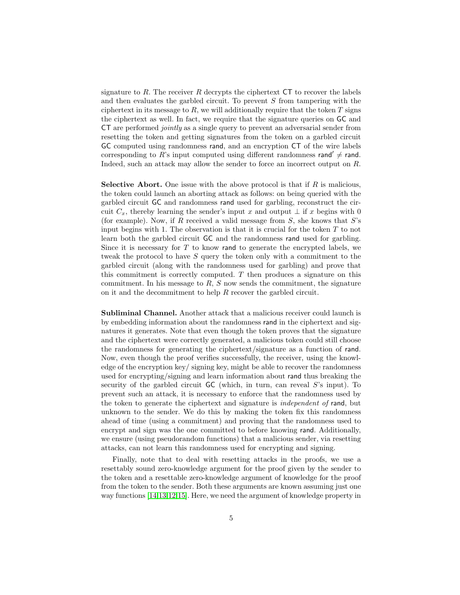signature to R. The receiver R decrypts the ciphertext  $CT$  to recover the labels and then evaluates the garbled circuit. To prevent S from tampering with the ciphertext in its message to  $R$ , we will additionally require that the token  $T$  signs the ciphertext as well. In fact, we require that the signature queries on GC and CT are performed jointly as a single query to prevent an adversarial sender from resetting the token and getting signatures from the token on a garbled circuit GC computed using randomness rand, and an encryption CT of the wire labels corresponding to  $\overrightarrow{R}$ 's input computed using different randomness rand'  $\neq$  rand. Indeed, such an attack may allow the sender to force an incorrect output on R.

**Selective Abort.** One issue with the above protocol is that if  $R$  is malicious, the token could launch an aborting attack as follows: on being queried with the garbled circuit GC and randomness rand used for garbling, reconstruct the circuit  $C_x$ , thereby learning the sender's input x and output  $\perp$  if x begins with 0 (for example). Now, if R received a valid message from  $S$ , she knows that  $S$ 's input begins with 1. The observation is that it is crucial for the token  $T$  to not learn both the garbled circuit GC and the randomness rand used for garbling. Since it is necessary for  $T$  to know rand to generate the encrypted labels, we tweak the protocol to have  $S$  query the token only with a commitment to the garbled circuit (along with the randomness used for garbling) and prove that this commitment is correctly computed.  $T$  then produces a signature on this commitment. In his message to  $R$ ,  $S$  now sends the commitment, the signature on it and the decommitment to help  $R$  recover the garbled circuit.

Subliminal Channel. Another attack that a malicious receiver could launch is by embedding information about the randomness rand in the ciphertext and signatures it generates. Note that even though the token proves that the signature and the ciphertext were correctly generated, a malicious token could still choose the randomness for generating the ciphertext/signature as a function of rand. Now, even though the proof verifies successfully, the receiver, using the knowledge of the encryption key/ signing key, might be able to recover the randomness used for encrypting/signing and learn information about rand thus breaking the security of the garbled circuit  $GC$  (which, in turn, can reveal  $S$ 's input). To prevent such an attack, it is necessary to enforce that the randomness used by the token to generate the ciphertext and signature is independent of rand, but unknown to the sender. We do this by making the token fix this randomness ahead of time (using a commitment) and proving that the randomness used to encrypt and sign was the one committed to before knowing rand. Additionally, we ensure (using pseudorandom functions) that a malicious sender, via resetting attacks, can not learn this randomness used for encrypting and signing.

Finally, note that to deal with resetting attacks in the proofs, we use a resettably sound zero-knowledge argument for the proof given by the sender to the token and a resettable zero-knowledge argument of knowledge for the proof from the token to the sender. Both these arguments are known assuming just one way functions [\[14,](#page-18-10)[13](#page-18-11)[,12,](#page-18-12)[15\]](#page-18-13). Here, we need the argument of knowledge property in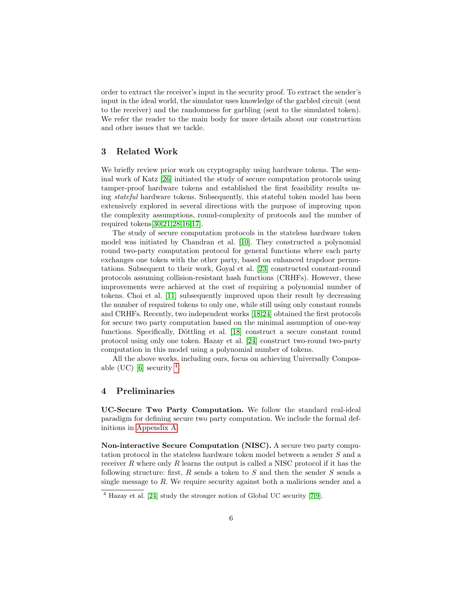order to extract the receiver's input in the security proof. To extract the sender's input in the ideal world, the simulator uses knowledge of the garbled circuit (sent to the receiver) and the randomness for garbling (sent to the simulated token). We refer the reader to the main body for more details about our construction and other issues that we tackle.

# <span id="page-5-0"></span>3 Related Work

We briefly review prior work on cryptography using hardware tokens. The seminal work of Katz [\[26\]](#page-18-4) initiated the study of secure computation protocols using tamper-proof hardware tokens and established the first feasibility results using stateful hardware tokens. Subsequently, this stateful token model has been extensively explored in several directions with the purpose of improving upon the complexity assumptions, round-complexity of protocols and the number of required tokens[\[30](#page-19-1)[,21,](#page-18-14)[28,](#page-18-15)[16](#page-18-16)[,17\]](#page-18-17).

The study of secure computation protocols in the stateless hardware token model was initiated by Chandran et al. [\[10\]](#page-18-18). They constructed a polynomial round two-party computation protocol for general functions where each party exchanges one token with the other party, based on enhanced trapdoor permutations. Subsequent to their work, Goyal et al. [\[23\]](#page-18-6) constructed constant-round protocols assuming collision-resistant hash functions (CRHFs). However, these improvements were achieved at the cost of requiring a polynomial number of tokens. Choi et al. [\[11\]](#page-18-7) subsequently improved upon their result by decreasing the number of required tokens to only one, while still using only constant rounds and CRHFs. Recently, two independent works [\[18,](#page-18-8)[24\]](#page-18-9) obtained the first protocols for secure two party computation based on the minimal assumption of one-way functions. Specifically, Döttling et al. [\[18\]](#page-18-8) construct a secure constant round protocol using only one token. Hazay et al. [\[24\]](#page-18-9) construct two-round two-party computation in this model using a polynomial number of tokens.

All the above works, including ours, focus on achieving Universally Compos-able (UC) [\[6\]](#page-17-2) security  $^4$  $^4$ .

## <span id="page-5-2"></span>4 Preliminaries

UC-Secure Two Party Computation. We follow the standard real-ideal paradigm for defining secure two party computation. We include the formal definitions in [Appendix A.](#page-20-0)

Non-interactive Secure Computation (NISC). A secure two party computation protocol in the stateless hardware token model between a sender S and a receiver R where only R learns the output is called a NISC protocol if it has the following structure: first, R sends a token to S and then the sender S sends a single message to  $R$ . We require security against both a malicious sender and a

<span id="page-5-1"></span> $\frac{4}{4}$  Hazay et al. [\[24\]](#page-18-9) study the stronger notion of Global UC security [\[7,](#page-17-3)[9\]](#page-18-3).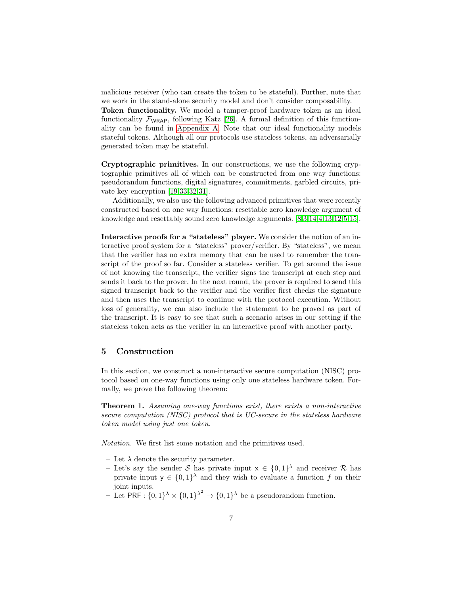malicious receiver (who can create the token to be stateful). Further, note that we work in the stand-alone security model and don't consider composability.

Token functionality. We model a tamper-proof hardware token as an ideal functionality  $\mathcal{F}_{WRAP}$ , following Katz [\[26\]](#page-18-4). A formal definition of this functionality can be found in [Appendix A.](#page-20-0) Note that our ideal functionality models stateful tokens. Although all our protocols use stateless tokens, an adversarially generated token may be stateful.

Cryptographic primitives. In our constructions, we use the following cryptographic primitives all of which can be constructed from one way functions: pseudorandom functions, digital signatures, commitments, garbled circuits, private key encryption [\[19](#page-18-19)[,33,](#page-19-0)[32,](#page-19-2)[31\]](#page-19-3).

Additionally, we also use the following advanced primitives that were recently constructed based on one way functions: resettable zero knowledge argument of knowledge and resettably sound zero knowledge arguments. [\[8,](#page-17-4)[3,](#page-17-5)[14,](#page-18-10)[4,](#page-17-6)[13,](#page-18-11)[12,](#page-18-12)[5,](#page-17-7)[15\]](#page-18-13).

Interactive proofs for a "stateless" player. We consider the notion of an interactive proof system for a "stateless" prover/verifier. By "stateless", we mean that the verifier has no extra memory that can be used to remember the transcript of the proof so far. Consider a stateless verifier. To get around the issue of not knowing the transcript, the verifier signs the transcript at each step and sends it back to the prover. In the next round, the prover is required to send this signed transcript back to the verifier and the verifier first checks the signature and then uses the transcript to continue with the protocol execution. Without loss of generality, we can also include the statement to be proved as part of the transcript. It is easy to see that such a scenario arises in our setting if the stateless token acts as the verifier in an interactive proof with another party.

# 5 Construction

In this section, we construct a non-interactive secure computation (NISC) protocol based on one-way functions using only one stateless hardware token. Formally, we prove the following theorem:

Theorem 1. Assuming one-way functions exist, there exists a non-interactive secure computation (NISC) protocol that is UC-secure in the stateless hardware token model using just one token.

Notation. We first list some notation and the primitives used.

- Let  $\lambda$  denote the security parameter.
- Let's say the sender S has private input  $x \in \{0,1\}^{\lambda}$  and receiver R has private input  $y \in \{0,1\}^{\lambda}$  and they wish to evaluate a function f on their joint inputs.
- Let PRF :  $\{0,1\}^{\lambda} \times \{0,1\}^{\lambda^2} \rightarrow \{0,1\}^{\lambda}$  be a pseudorandom function.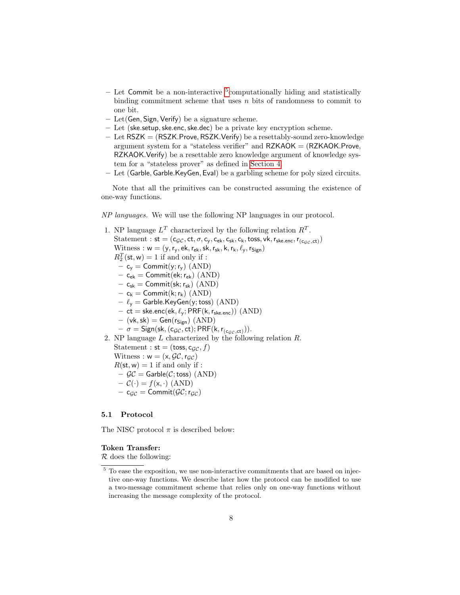- Let Commit be a non-interactive <sup>[5](#page-7-0)</sup>computationally hiding and statistically binding commitment scheme that uses  $n$  bits of randomness to commit to one bit.
- Let(Gen, Sign, Verify) be a signature scheme.
- Let (ske.setup,ske.enc,ske.dec) be a private key encryption scheme.
- Let RSZK = (RSZK.Prove, RSZK.Verify) be a resettably-sound zero-knowledge argument system for a "stateless verifier" and  $RZKAOK = (RZKAOK.Prove,$ RZKAOK.Verify) be a resettable zero knowledge argument of knowledge system for a "stateless prover" as defined in [Section 4.](#page-5-2)
- Let (Garble, Garble.KeyGen, Eval) be a garbling scheme for poly sized circuits.

Note that all the primitives can be constructed assuming the existence of one-way functions.

NP languages. We will use the following NP languages in our protocol.

- 1. NP language  $L^T$  characterized by the following relation  $R^T$ . Statement :  $st = (c_{\mathcal{GC}}, ct, \sigma, c_{v}, c_{ek}, c_{sk}, c_{k}, toss, vk, r_{ske.enc}, r_{(c_{\mathcal{GC}},ct)})$ Witness :  $w = (y, r_v, ek, r_{ek}, sk, r_{sk}, k, r_k, \ell_v, r_{Sign})$  $R_2^T(\mathsf{st}, \mathsf{w}) = 1$  if and only if :  $- c_y =$  Commit(y; r<sub>y</sub>) (AND)  $-$  c<sub>ek</sub> = Commit(ek; r<sub>ek</sub>) (AND)  $- \ c_{\sf sk} = \mathsf{Commit}(\mathsf{sk};r_{\sf sk}) \ (\mathrm{AND})$  $- c_k =$  Commit(k;  $r_k$ ) (AND)  $- \ell_{\mathsf{y}} =$  Garble.KeyGen(y; toss) (AND)  $-$  ct = ske.enc(ek,  $\ell_{y}$ ; PRF(k, r<sub>ske.enc</sub>)) (AND)  $-$  (vk, sk) = Gen( $r_{Sign}$ ) (AND)  $- \sigma =$  Sign(sk, (c<sub>GC</sub>, ct); PRF(k, r<sub>(cgc,ct)</sub>)). 2. NP language L characterized by the following relation R. Statement :  $st = (toss, c_{\mathcal{GC}}, f)$ Witness :  $w = (x, \mathcal{GC}, r_{\mathcal{GC}})$  $R(\mathsf{st}, \mathsf{w}) = 1$  if and only if :
	- $-\mathcal{GC} =$  Garble( $\mathcal{C}$ ; toss) (AND)
	- $-\mathcal{C}(\cdot) = f(\mathsf{x}, \cdot)$  (AND)
	- $c_{\mathcal{GC}} = \text{Commit}(\mathcal{GC};r_{\mathcal{GC}})$

#### 5.1 Protocol

The NISC protocol  $\pi$  is described below:

#### Token Transfer:

 $\mathcal R$  does the following:

<span id="page-7-0"></span> $5$  To ease the exposition, we use non-interactive commitments that are based on injective one-way functions. We describe later how the protocol can be modified to use a two-message commitment scheme that relies only on one-way functions without increasing the message complexity of the protocol.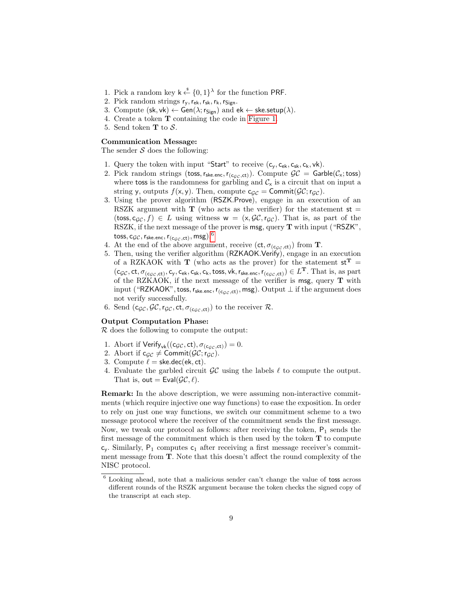- 1. Pick a random key  $k \stackrel{\$}{\leftarrow} \{0,1\}^{\lambda}$  for the function PRF.
- 2. Pick random strings  $r_y, r_{ek}, r_{sk}, r_k, r_{Sign}$ .
- 3. Compute  $(\mathsf{sk}, \mathsf{vk}) \leftarrow \mathsf{Gen}(\lambda; \mathsf{r}_{\mathsf{Sign}})$  and  $\mathsf{ek} \leftarrow \mathsf{ske}.\mathsf{setup}(\lambda)$ .
- 4. Create a token T containing the code in [Figure 1.](#page-9-0)
- 5. Send token **T** to  $S$ .

#### Communication Message:

The sender  $S$  does the following:

- 1. Query the token with input "Start" to receive  $(c_v, c_{ek}, c_{sk}, c_k, vk)$ .
- 2. Pick random strings (toss,  $r_{ske.enc}$ ,  $r_{(c_{GC},ct)}$ ). Compute  $\mathcal{GC} =$  Garble( $\mathcal{C}_x$ ; toss) where toss is the randomness for garbling and  $C_x$  is a circuit that on input a string y, outputs  $f(x, y)$ . Then, compute  $c_{\mathcal{GC}} = \text{Commit}(\mathcal{GC}; r_{\mathcal{GC}})$ .
- 3. Using the prover algorithm (RSZK.Prove), engage in an execution of an RSZK argument with  $\bf{T}$  (who acts as the verifier) for the statement  $st =$ (toss, c<sub>GC</sub>, f)  $\in L$  using witness  $w = (x, \mathcal{GC}, r_{GC})$ . That is, as part of the RSZK, if the next message of the prover is msg, query T with input ("RSZK",  $\mathsf{toss}, \mathsf{c}_{\mathcal{GC}},\mathsf{r}_{\mathsf{ske. enc}},\mathsf{r}_{(\mathsf{c}_{\mathcal{GC}}, \mathsf{ct})},\mathsf{msg}).^6$  $\mathsf{toss}, \mathsf{c}_{\mathcal{GC}},\mathsf{r}_{\mathsf{ske. enc}},\mathsf{r}_{(\mathsf{c}_{\mathcal{GC}}, \mathsf{ct})},\mathsf{msg}).^6$
- 4. At the end of the above argument, receive  $(ct, \sigma_{(c,c,c,t)})$  from **T**.
- 5. Then, using the verifier algorithm (RZKAOK.Verify), engage in an execution of a RZKAOK with **T** (who acts as the prover) for the statement  $st^T =$  $(c_{\mathcal{GC}},ct,\sigma_{(c_{\mathcal{GC}},ct)},c_y,c_{\mathsf{ek}},c_{\mathsf{sk}},c_{\mathsf{k}},t_{\mathsf{S}})$ ,  $\mathsf{v}\mathsf{k},\mathsf{r}_{\mathsf{S}\mathsf{ke},\mathsf{enc}},\mathsf{r}_{(c_{\mathcal{GC}},ct)})\in L^\mathbf{T}.$  That is, as part of the RZKAOK, if the next message of the verifier is msg, query  $T$  with input ("RZKAOK", toss, r<sub>ske.enc</sub>, r<sub>(cgc,ct)</sub>, msg). Output  $\bot$  if the argument does not verify successfully.
- 6. Send  $(c_{\mathcal{GC}}, \mathcal{GC}, r_{\mathcal{GC}}, ct, \sigma_{(c_{\mathcal{GC}},ct)})$  to the receiver  $\mathcal{R}$ .

#### Output Computation Phase:

 $R$  does the following to compute the output:

- 1. Abort if  $Verify_{vk}((c_{\mathcal{GC}}, ct), \sigma_{(c_{\mathcal{GC}},ct)}) = 0.$
- 2. Abort if  $c_{\mathcal{GC}} \neq \text{Commit}(\mathcal{GC};r_{\mathcal{GC}})$ .
- 3. Compute  $\ell =$  ske.dec(ek, ct).
- 4. Evaluate the garbled circuit  $\mathcal{GC}$  using the labels  $\ell$  to compute the output. That is, out =  $Eval(\mathcal{GC}, \ell)$ .

Remark: In the above description, we were assuming non-interactive commitments (which require injective one way functions) to ease the exposition. In order to rely on just one way functions, we switch our commitment scheme to a two message protocol where the receiver of the commitment sends the first message. Now, we tweak our protocol as follows: after receiving the token,  $P_1$  sends the first message of the commitment which is then used by the token  $T$  to compute  $c_v$ . Similarly,  $P_1$  computes  $c_1$  after receiving a first message receiver's commitment message from T. Note that this doesn't affect the round complexity of the NISC protocol.

<span id="page-8-0"></span><sup>6</sup> Looking ahead, note that a malicious sender can't change the value of toss across different rounds of the RSZK argument because the token checks the signed copy of the transcript at each step.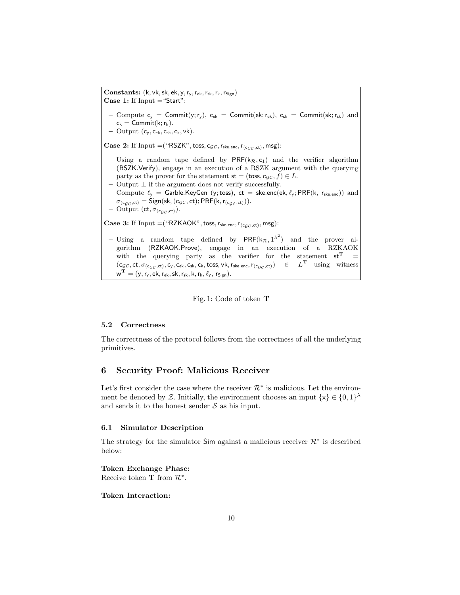<span id="page-9-0"></span>Constants:  $(k, vk, sk, ek, y, r_v, r_{ek}, r_{sk}, r_k, r_{Sign})$ Case 1: If  $Input = "Start":$ – Compute  $c_y =$  Commit $(y; r_y)$ ,  $c_{ek}$  = Commit $(ek; r_{ek})$ ,  $c_{sk}$  = Commit $(sk; r_{sk})$  and  $c_k =$  Commit $(k; r_k)$ . – Output  $(c_v, c_{ek}, c_{sk}, c_k, vk)$ . **Case 2:** If Input  $=$  ("RSZK", toss, c<sub>GC</sub>, r<sub>ske.enc</sub>, r<sub>(c<sub>GC</sub>, ct)</sub>, msg): – Using a random tape defined by  $PRF(k_{\mathcal{R}}, c_1)$  and the verifier algorithm (RSZK.Verify), engage in an execution of a RSZK argument with the querying party as the prover for the statement  $st = (toss, c_{GC}, f) \in L$ . – Output  $⊥$  if the argument does not verify successfully. – Compute  $\ell_y$  = Garble.KeyGen (y; toss), ct = ske.enc(ek,  $\ell_y$ ; PRF(k, r<sub>ske.enc</sub>)) and  $\sigma_{(c_{GC},ct)} =$  Sign(sk, (c<sub>GC</sub>, ct); PRF(k, r<sub>(c<sub>GC, ct)</sub>)).</sub> – Output  $(ct, \sigma_{(c_{\mathcal{GC}},ct)}).$ **Case 3:** If Input  $=$  ("RZKAOK", toss,  $r_{\text{ske.enc}}$ ,  $r_{\text{(c_{GC,ct})}}$ , msg): - Using a random tape defined by  $PRF(k_{\mathcal{R}}, 1^{\lambda^2})$  and the prover algorithm (RZKAOK.Prove), engage in an execution of a RZKAOK with the querying party as the verifier for the statement  $st^T$  =  $(c_{\mathcal{GC}},ct,\sigma_{(c_{\mathcal{GC}},ct)},c_y,c_{\mathsf{ek}},c_{\mathsf{sk}},c_\mathsf{k},\mathsf{toss},\mathsf{vk},\mathsf{r}_{\mathsf{ske.enc}},\mathsf{r}_{(c_{\mathcal{GC}},ct)}) \in L^\mathbf{T}$  using witness  $\boldsymbol{w}^{\mathbf{T}} = (\boldsymbol{y}, \boldsymbol{r}_{\boldsymbol{y}}, \boldsymbol{ek}, \boldsymbol{r}_{\boldsymbol{ek}}, \boldsymbol{sk}, \boldsymbol{r}_{\boldsymbol{sk}}, \boldsymbol{k}, \boldsymbol{r}_{\boldsymbol{k}}, \ell_{\boldsymbol{y}}, \boldsymbol{r}_{Sign}).$ 

Fig. 1: Code of token T

#### 5.2 Correctness

The correctness of the protocol follows from the correctness of all the underlying primitives.

## 6 Security Proof: Malicious Receiver

Let's first consider the case where the receiver  $\mathcal{R}^*$  is malicious. Let the environment be denoted by Z. Initially, the environment chooses an input  $\{x\} \in \{0,1\}^{\lambda}$ and sends it to the honest sender  $S$  as his input.

# 6.1 Simulator Description

The strategy for the simulator Sim against a malicious receiver  $\mathcal{R}^*$  is described below:

Token Exchange Phase: Receive token **T** from  $\mathcal{R}^*$ .

### Token Interaction: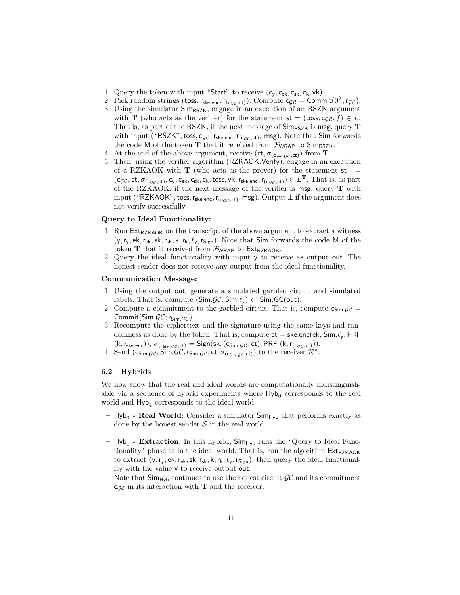- 1. Query the token with input "Start" to receive  $(c_v, c_{ek}, c_{sk}, c_k, vk)$ .
- 2. Pick random strings (toss,  $r_{\text{ske.enc}}$ ,  $r_{(c_{\mathcal{GC}},ct)}$ ). Compute  $c_{\mathcal{GC}} = \text{Commit}(0^{\lambda}; r_{\mathcal{GC}})$ .
- 3. Using the simulator  $\mathsf{Sim}_{\mathsf{RSZK}}$ , engage in an execution of an RSZK argument with **T** (who acts as the verifier) for the statement  $st = (toss, c_{GC}, f) \in L$ . That is, as part of the RSZK, if the next message of  $\mathsf{Sim}_{\mathsf{RSZK}}$  is msg, query **T** with input ("RSZK", toss, c<sub>GC</sub>,  $r_{\text{ske.enc}}$ ,  $r_{(c_{GC},ct)}$ , msg). Note that Sim forwards the code M of the token  $T$  that it received from  $\mathcal{F}_{WRAP}$  to  $Sim_{RSZK}$ .
- 4. At the end of the above argument, receive  $(ct, \sigma_{(c_{Sim. \mathcal{GC}},ct)})$  from **T**.
- 5. Then, using the verifier algorithm (RZKAOK.Verify), engage in an execution of a RZKAOK with **T** (who acts as the prover) for the statement  $st^T =$  $(c_{\mathcal{GC}},ct,\sigma_{(c_{\mathcal{GC}},ct)},c_y,c_{\mathsf{ek}},c_{\mathsf{sk}},c_{\mathsf{k}},t_{\mathsf{SSS}},\mathsf{vk},r_{\mathsf{Ske.enc}},r_{(c_{\mathcal{GC}},ct)})\in L^\mathbf{T}.$  That is, as part of the RZKAOK, if the next message of the verifier is msg, query  $T$  with input ("RZKAOK", toss, r<sub>ske.enc</sub>, r<sub>(cgc,ct)</sub>, msg). Output  $\perp$  if the argument does not verify successfully.

#### Query to Ideal Functionality:

- 1. Run  $Ext_{RZKAGK}$  on the transcript of the above argument to extract a witness  $(y, r_y, ek, r_{ek}, sk, r_{sk}, k, r_k, \ell_y, r_{Sign})$ . Note that Sim forwards the code M of the token  $T$  that it received from  $\mathcal{F}_{WRAP}$  to  $Ext_{RZKAOK}$ .
- 2. Query the ideal functionality with input y to receive as output out. The honest sender does not receive any output from the ideal functionality.

#### Communication Message:

- 1. Using the output out, generate a simulated garbled circuit and simulated labels. That is, compute  $(Sim.\mathcal{GC}, Sim.\ell_v) \leftarrow Sim.GC(out).$
- 2. Compute a commitment to the garbled circuit. That is, compute  $c_{\text{Sim.}GC}$ Commit(Sim. $\mathcal{GC}$ ; r<sub>Sim. $\mathcal{GC}$ ).</sub>
- 3. Recompute the ciphertext and the signature using the same keys and randomness as done by the token. That is, compute  $ct =$  ske.enc(ek, Sim. $\ell_v$ ; PRF  $(k, r_{\text{ske.enc}})), \sigma_{(c_{\text{Sim.GC}},ct)} = \text{Sign}(\text{sk},(c_{\text{Sim.GC}},ct); \text{PRF }(k, r_{(c_{\mathcal{GC}},ct)})).$
- 4. Send  $(c_{\text{Sim.GC}}, \text{Sim.GC}, r_{\text{Sim.GC}}, ct, \sigma_{(c_{\text{Sim.GC}},ct)})$  to the receiver  $\mathcal{R}^*$ .

#### 6.2 Hybrids

We now show that the real and ideal worlds are computationally indistinguishable via a sequence of hybrid experiments where  $\mathsf{Hyb}_0$  corresponds to the real world and  $\mathsf{Hyb}_4$  corresponds to the ideal world.

- $-$  Hyb<sub>0</sub> Real World: Consider a simulator  $Sim_{Hyb}$  that performs exactly as done by the honest sender  $S$  in the real world.
- Hyb<sub>1</sub> Extraction: In this hybrid, Sim<sub>Hyb</sub> runs the "Query to Ideal Functionality" phase as in the ideal world. That is, run the algorithm  $Ext_{RZKAOK}$ to extract  $(y, r_y, ek, r_{ek}, sk, r_{sk}, k, r_k, \ell_y, r_{Sign})$ , then query the ideal functionality with the value y to receive output out.

Note that  $Sim_{Hyb}$  continues to use the honest circuit  $\mathcal{GC}$  and its commitment  $c_{\mathcal{GC}}$  in its interaction with **T** and the receiver.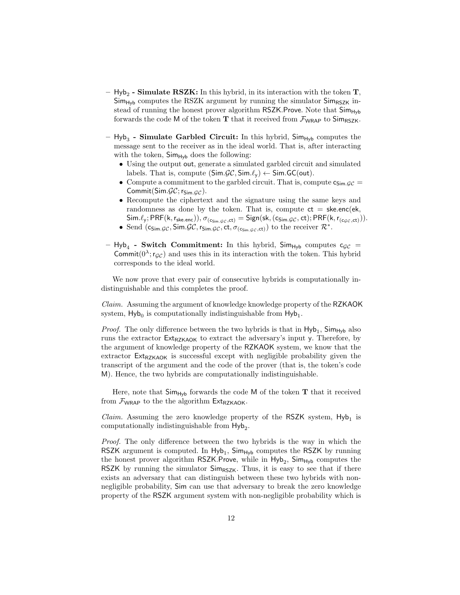- $-$  Hyb<sub>2</sub> **Simulate RSZK:** In this hybrid, in its interaction with the token **T**,  $Sim_{Hyb}$  computes the RSZK argument by running the simulator  $Sim_{RSZK}$  instead of running the honest prover algorithm RSZK.Prove. Note that Sim<sub>Hyb</sub> forwards the code M of the token T that it received from  $\mathcal{F}_{WRAP}$  to  $Sim_{RSZK}$ .
- $-$  Hyb<sub>3</sub> Simulate Garbled Circuit: In this hybrid, Sim<sub>Hyb</sub> computes the message sent to the receiver as in the ideal world. That is, after interacting with the token,  $\mathsf{Sim}_{\mathsf{Hvb}}$  does the following:
	- Using the output out, generate a simulated garbled circuit and simulated labels. That is, compute  $(Sim.\mathcal{GC}, Sim.\ell_v) \leftarrow Sim.GC(out).$
	- Compute a commitment to the garbled circuit. That is, compute  $c_{Sim.GC}$  = Commit(Sim. $\mathcal{GC}$ ; r<sub>Sim. $\mathcal{GC}$ </sub>).
	- Recompute the ciphertext and the signature using the same keys and randomness as done by the token. That is, compute  $ct = s$ ke.enc(ek,  $\mathsf{Sim.\ell_y}; \mathsf{PRF}(\mathsf{k},\mathsf{r_{ske.enc}})), \sigma_{(\mathsf{c_{Sim.GC}},\mathsf{ct})} = \mathsf{Sign}(\mathsf{sk},(\mathsf{c_{Sim.GC}},\mathsf{ct}); \mathsf{PRF}(\mathsf{k},\mathsf{r_{(c_{GC},ct)}})).$
	- Send  $(c_{Sim.GC}, Sim.GC, r_{Sim.GC}, ct, \sigma_{(c_{Sim.GC},ct)})$  to the receiver  $\mathcal{R}^*$ .
- $-$  Hyb<sub>4</sub> Switch Commitment: In this hybrid, Sim<sub>Hyb</sub> computes  $c_{\mathcal{GC}} =$ Commit $(0^{\lambda}; r_{\mathcal{GC}})$  and uses this in its interaction with the token. This hybrid corresponds to the ideal world.

We now prove that every pair of consecutive hybrids is computationally indistinguishable and this completes the proof.

Claim. Assuming the argument of knowledge knowledge property of the RZKAOK system,  $\mathsf{Hyb}_0$  is computationally indistinguishable from  $\mathsf{Hyb}_1$ .

*Proof.* The only difference between the two hybrids is that in  $Hyb_1$ ,  $Sim_{Hyb}$  also runs the extractor  $Ext_{RZKAOK}$  to extract the adversary's input y. Therefore, by the argument of knowledge property of the RZKAOK system, we know that the extractor  $Ext_{RZKAGK}$  is successful except with negligible probability given the transcript of the argument and the code of the prover (that is, the token's code M). Hence, the two hybrids are computationally indistinguishable.

Here, note that  $Sim_{Hyb}$  forwards the code M of the token  $T$  that it received from  $\mathcal{F}_{WRAP}$  to the the algorithm  $Ext_{RZKAOK}$ .

*Claim.* Assuming the zero knowledge property of the RSZK system,  $Hyb_1$  is computationally indistinguishable from  $\mathsf{Hyb}_2$ .

Proof. The only difference between the two hybrids is the way in which the RSZK argument is computed. In  $Hyb_1$ ,  $Sim_{Hyb}$  computes the RSZK by running the honest prover algorithm  $\textsf{RSZK}$ . Prove, while in  $\textsf{Hyb}_2$ ,  $\textsf{Sim}_{\textsf{Hyb}}$  computes the RSZK by running the simulator  $Sim_{RSZK}$ . Thus, it is easy to see that if there exists an adversary that can distinguish between these two hybrids with nonnegligible probability, Sim can use that adversary to break the zero knowledge property of the RSZK argument system with non-negligible probability which is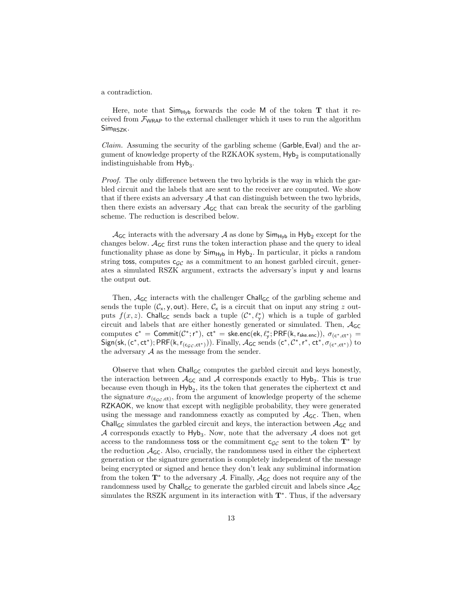a contradiction.

Here, note that  $Sim_{Hv}$  forwards the code M of the token **T** that it received from  $\mathcal{F}_{WRAP}$  to the external challenger which it uses to run the algorithm Sim<sub>RSZK</sub>.

Claim. Assuming the security of the garbling scheme (Garble, Eval) and the argument of knowledge property of the RZKAOK system,  $\mathsf{Hyb}_2$  is computationally indistinguishable from  $Hyb<sub>3</sub>$ .

Proof. The only difference between the two hybrids is the way in which the garbled circuit and the labels that are sent to the receiver are computed. We show that if there exists an adversary  $A$  that can distinguish between the two hybrids, then there exists an adversary  $\mathcal{A}_{\mathsf{GC}}$  that can break the security of the garbling scheme. The reduction is described below.

 $\mathcal{A}_{\mathsf{GC}}$  interacts with the adversary  $\mathcal A$  as done by  $\mathsf{Sim}_{\mathsf{Hyb}}$  in  $\mathsf{Hyb}_2$  except for the changes below.  $A_{\mathsf{GC}}$  first runs the token interaction phase and the query to ideal functionality phase as done by  $\mathsf{Sim}_{\mathsf{Hyb}}$  in  $\mathsf{Hyb}_2$ . In particular, it picks a random string toss, computes  $c_{GC}$  as a commitment to an honest garbled circuit, generates a simulated RSZK argument, extracts the adversary's input y and learns the output out.

Then,  $A_{\mathsf{GC}}$  interacts with the challenger Chall<sub>GC</sub> of the garbling scheme and sends the tuple  $(\mathcal{C}_x, y, \text{out})$ . Here,  $\mathcal{C}_x$  is a circuit that on input any string z outputs  $f(x, z)$ . Chall<sub>GC</sub> sends back a tuple  $(\mathcal{C}^*, \ell^*_y)$  which is a tuple of garbled circuit and labels that are either honestly generated or simulated. Then,  $A_{GC}$ computes  $c^* = \text{Commit}(\mathcal{C}^*; r^*)$ ,  $ct^* = \text{ske.enc}(\text{ek}, \ell_y^*; \text{PRF}(\text{k}, r_{\text{ske.enc}})), \sigma_{(c^*, ct^*)} =$ Sign(sk, (c\*, ct\*); PRF(k,  $r_{(c_{\mathcal{GC}},ct^*)})$ ). Finally,  $\mathcal{A}_{\mathsf{GC}}$  sends (c\*,  $\mathcal{C}^*, r^*, ct^*, \sigma_{(c^*, ct^*)})$  to the adversary  $A$  as the message from the sender.

Observe that when  $\text{Chall}_{\mathsf{GC}}$  computes the garbled circuit and keys honestly, the interaction between  $A_{\text{GC}}$  and A corresponds exactly to  $\text{Hyb}_2$ . This is true because even though in  $\mathsf{Hyb}_2$ , its the token that generates the ciphertext  $ct$  and the signature  $\sigma_{(c_{\mathcal{GC}},ct)}$ , from the argument of knowledge property of the scheme RZKAOK, we know that except with negligible probability, they were generated using the message and randomness exactly as computed by  $A_{\mathsf{GC}}$ . Then, when Chall<sub>GC</sub> simulates the garbled circuit and keys, the interaction between  $A_{\mathsf{GC}}$  and  $A$  corresponds exactly to  $Hyb<sub>3</sub>$ . Now, note that the adversary  $A$  does not get access to the randomness toss or the commitment c<sub>GC</sub> sent to the token  $T^*$  by the reduction  $A_{\mathsf{GC}}$ . Also, crucially, the randomness used in either the ciphertext generation or the signature generation is completely independent of the message being encrypted or signed and hence they don't leak any subliminal information from the token  $T^*$  to the adversary A. Finally,  $A_{\text{GC}}$  does not require any of the randomness used by Chall<sub>GC</sub> to generate the garbled circuit and labels since  $A_{GC}$ simulates the RSZK argument in its interaction with  $\mathbf{T}^*$ . Thus, if the adversary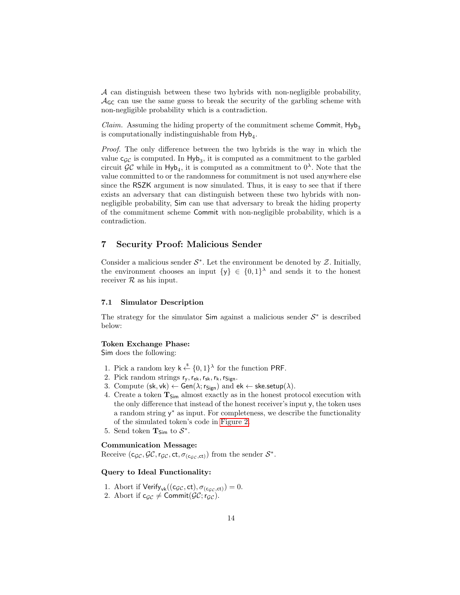A can distinguish between these two hybrids with non-negligible probability,  $\mathcal{A}_{\mathsf{GC}}$  can use the same guess to break the security of the garbling scheme with non-negligible probability which is a contradiction.

*Claim.* Assuming the hiding property of the commitment scheme Commit,  $Hyb_3$ is computationally indistinguishable from  $\mathsf{Hyb}_4$ .

Proof. The only difference between the two hybrids is the way in which the value  $c_{\mathcal{GC}}$  is computed. In  $\mathsf{Hyb}_3$ , it is computed as a commitment to the garbled circuit  $\mathcal{GC}$  while in  $Hyb_4$ , it is computed as a commitment to  $0^{\lambda}$ . Note that the value committed to or the randomness for commitment is not used anywhere else since the RSZK argument is now simulated. Thus, it is easy to see that if there exists an adversary that can distinguish between these two hybrids with nonnegligible probability, Sim can use that adversary to break the hiding property of the commitment scheme Commit with non-negligible probability, which is a contradiction.

# 7 Security Proof: Malicious Sender

Consider a malicious sender  $S^*$ . Let the environment be denoted by  $\mathcal Z$ . Initially, the environment chooses an input  $\{y\} \in \{0,1\}^{\lambda}$  and sends it to the honest receiver  $R$  as his input.

#### 7.1 Simulator Description

The strategy for the simulator  $Sim$  against a malicious sender  $S^*$  is described below:

#### Token Exchange Phase:

Sim does the following:

- 1. Pick a random key  $k \stackrel{\$}{\leftarrow} \{0,1\}^{\lambda}$  for the function PRF.
- 2. Pick random strings  $r_y, r_{ek}, r_{sk}, r_k, r_{Sign}$ .
- 3. Compute  $(\mathsf{sk}, \mathsf{vk}) \leftarrow \mathsf{Gen}(\lambda; \mathsf{r}_{\mathsf{Sign}})$  and  $\mathsf{ek} \leftarrow \mathsf{ske}.\mathsf{setup}(\lambda)$ .
- 4. Create a token  $T_{Sim}$  almost exactly as in the honest protocol execution with the only difference that instead of the honest receiver's input y, the token uses a random string  $y^*$  as input. For completeness, we describe the functionality of the simulated token's code in [Figure 2.](#page-14-0)
- 5. Send token  $\mathbf{T}_{\text{Sim}}$  to  $\mathcal{S}^*$ .

# Communication Message:

Receive  $(c_{\mathcal{GC}}, \mathcal{GC}, r_{\mathcal{GC}}, ct, \sigma_{(c_{\mathcal{GC}},ct)})$  from the sender  $\mathcal{S}^*$ .

# Query to Ideal Functionality:

- 1. Abort if  $Verify_{vk}((c_{\mathcal{GC}}, ct), \sigma_{(c_{\mathcal{GC}},ct)}) = 0.$
- 2. Abort if  $c_{\mathcal{GC}} \neq \text{Commit}(\mathcal{GC};r_{\mathcal{GC}})$ .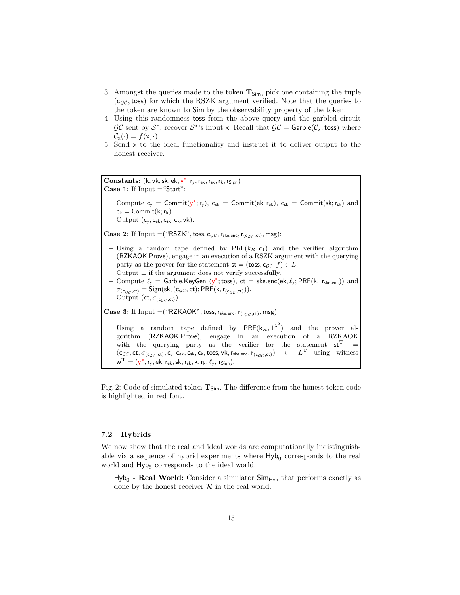- 3. Amongst the queries made to the token  $T_{Sim}$ , pick one containing the tuple  $(c<sub>GC</sub>,$  toss) for which the RSZK argument verified. Note that the queries to the token are known to Sim by the observability property of the token.
- 4. Using this randomness toss from the above query and the garbled circuit  $\mathcal{GC}$  sent by  $\mathcal{S}^*$ , recover  $\mathcal{S}^*$ 's input x. Recall that  $\mathcal{GC} =$  Garble( $\mathcal{C}_x$ ; toss) where  $\mathcal{C}_{\mathsf{x}}(\cdot) = f(\mathsf{x}, \cdot).$
- 5. Send x to the ideal functionality and instruct it to deliver output to the honest receiver.

<span id="page-14-0"></span>Constants:  $(k, vk, sk, ek, y^*, r_y, r_{ek}, r_{sk}, r_k, r_{Sign})$ Case 1: If  $Input = "Start":$ 

- Compute  $c_y =$  Commit( $y^*$ ;  $r_y$ ),  $c_{ek}$  = Commit(ek;  $r_{ek}$ ),  $c_{sk}$  = Commit(sk;  $r_{sk}$ ) and  $c_k =$  Commit(k;  $r_k$ ).
- $-$  Output  $(c_y, c_{ek}, c_{sk}, c_k, vk)$ .

Case 2: If Input  $=$  ("RSZK", toss, c<sub>GC</sub>,  $r_{\text{ske.enc}}$ ,  $r_{\text{(cgc,ct)}}$ , msg):

- Using a random tape defined by  $PRF(k_{\mathcal{R}}, c_1)$  and the verifier algorithm (RZKAOK.Prove), engage in an execution of a RSZK argument with the querying party as the prover for the statement  $st = (toss, c_{\mathcal{GC}}, f) \in L$ .
- Output  $⊥$  if the argument does not verify successfully.
- Compute  $\ell_{y}$  = Garble.KeyGen (y<sup>\*</sup>; toss), ct = ske.enc(ek,  $\ell_{y}$ ; PRF(k, r<sub>ske.enc</sub>)) and  $\sigma_{(c_{GC},ct)} =$  Sign(sk, (cgc, ct); PRF(k,  $r_{(c_{GC},ct)}$ )).
- Output  $(ct, \sigma_{(c_{GC},ct)})$ .
- **Case 3:** If Input  $=$  ("RZKAOK", toss,  $r_{\text{ske.enc}}$ ,  $r_{(c_{GC},ct)}$ , msg):
- Using a random tape defined by  $PRF(k_{\mathcal{R}}, 1^{\lambda^2})$  and the prover algorithm (RZKAOK.Prove), engage in an execution of a RZKAOK with the querying party as the verifier for the statement  $st^T$  =  $(c_{\mathcal{GC}},ct,\sigma_{(c_{\mathcal{GC}},ct)},c_y,c_{\mathsf{ek}},c_{\mathsf{sk}},c_\mathsf{k},\mathsf{toss},\mathsf{vk},\mathsf{r}_{\mathsf{ske.enc}},\mathsf{r}_{(c_{\mathcal{GC}},ct)}) \in L^\mathbf{T}$  using witness  $\boldsymbol{w}^{\mathbf{T}} = (\boldsymbol{y}^*, \boldsymbol{r}_{\rm y}, \boldsymbol{\mathsf{ek}}, \boldsymbol{r}_{\rm \mathsf{ek}}, \boldsymbol{\mathsf{sk}}, \boldsymbol{r}_{\rm sk}, k, \boldsymbol{r}_{\rm k}, \ell_{\rm y}, \boldsymbol{r}_{\rm Sign}).$

Fig. 2: Code of simulated token  $T_{Sim}$ . The difference from the honest token code is highlighted in red font.

# <span id="page-14-1"></span>7.2 Hybrids

We now show that the real and ideal worlds are computationally indistinguishable via a sequence of hybrid experiments where  $\mathsf{Hyb}_0$  corresponds to the real world and  $Hyb<sub>5</sub>$  corresponds to the ideal world.

 $-$  Hyb<sub>0</sub> - Real World: Consider a simulator  $Sim_{Hyb}$  that performs exactly as done by the honest receiver  $R$  in the real world.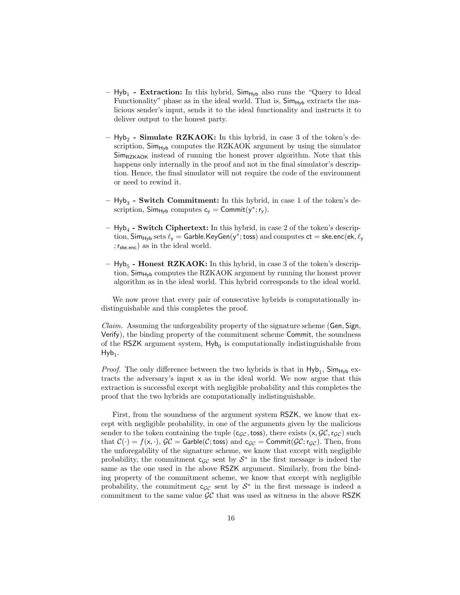- $-$  Hyb<sub>1</sub> **Extraction:** In this hybrid,  $\mathsf{Sim}_{\mathsf{Hyb}}$  also runs the "Query to Ideal Functionality" phase as in the ideal world. That is,  $\text{Sim}_{\text{Hvb}}$  extracts the malicious sender's input, sends it to the ideal functionality and instructs it to deliver output to the honest party.
- $-$  Hyb<sub>2</sub> Simulate RZKAOK: In this hybrid, in case 3 of the token's description,  $Sim_{Hyb}$  computes the RZKAOK argument by using the simulator  $Sim_{RZKAOK}$  instead of running the honest prover algorithm. Note that this happens only internally in the proof and not in the final simulator's description. Hence, the final simulator will not require the code of the environment or need to rewind it.
- $-$  Hyb<sub>3</sub> Switch Commitment: In this hybrid, in case 1 of the token's description,  $Sim_{Hyb}$  computes  $c_y = Commit(y^*; r_y)$ .
- $Hyb<sub>4</sub>$  Switch Ciphertext: In this hybrid, in case 2 of the token's description,  $\mathsf{Sim}_{\mathsf{Hyb}}$  sets  $\ell_\mathsf{y} = \mathsf{Garble}.\mathsf{KeyGen}(\mathsf{y}^*; \mathsf{toss})$  and computes  $\mathsf{ct} = \mathsf{ske}.\mathsf{enc}(\mathsf{ek}, \ell_\mathsf{y})$ ;rske.enc) as in the ideal world.
- $-$  Hyb<sub>5</sub> **Honest RZKAOK:** In this hybrid, in case 3 of the token's description,  $Sim_{Hv}$  computes the RZKAOK argument by running the honest prover algorithm as in the ideal world. This hybrid corresponds to the ideal world.

We now prove that every pair of consecutive hybrids is computationally indistinguishable and this completes the proof.

Claim. Assuming the unforgeability property of the signature scheme (Gen, Sign, Verify), the binding property of the commitment scheme Commit, the soundness of the RSZK argument system,  $Hyb<sub>0</sub>$  is computationally indistinguishable from  $Hyb_1$ .

*Proof.* The only difference between the two hybrids is that in  $Hyb_1$ ,  $Sim_{Hyb}$  extracts the adversary's input x as in the ideal world. We now argue that this extraction is successful except with negligible probability and this completes the proof that the two hybrids are computationally indistinguishable.

First, from the soundness of the argument system RSZK, we know that except with negligible probability, in one of the arguments given by the malicious sender to the token containing the tuple (c<sub>GC</sub>, toss), there exists  $(x, \mathcal{GC}, r_{\mathcal{GC}})$  such that  $C(\cdot) = f(x, \cdot), \mathcal{GC} = \mathsf{Garble}(\mathcal{C}; \mathsf{toss})$  and  $\mathsf{c}_{\mathcal{GC}} = \mathsf{Commit}(\mathcal{GC}; \mathsf{r}_{\mathcal{GC}})$ . Then, from the unforegability of the signature scheme, we know that except with negligible probability, the commitment  $c_{\mathcal{GC}}$  sent by  $\mathcal{S}^*$  in the first message is indeed the same as the one used in the above RSZK argument. Similarly, from the binding property of the commitment scheme, we know that except with negligible probability, the commitment  $c_{\mathcal{GC}}$  sent by  $\mathcal{S}^*$  in the first message is indeed a commitment to the same value  $\mathcal{GC}$  that was used as witness in the above RSZK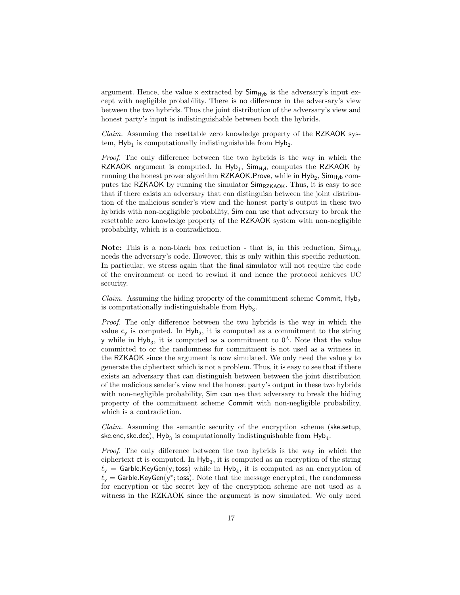argument. Hence, the value  $\times$  extracted by  $\mathsf{Sim}_{\mathsf{Hvb}}$  is the adversary's input except with negligible probability. There is no difference in the adversary's view between the two hybrids. Thus the joint distribution of the adversary's view and honest party's input is indistinguishable between both the hybrids.

Claim. Assuming the resettable zero knowledge property of the RZKAOK system,  $Hyb_1$  is computationally indistinguishable from  $Hyb_2$ .

Proof. The only difference between the two hybrids is the way in which the RZKAOK argument is computed. In  $Hyb_1$ ,  $Sim_{Hyb}$  computes the RZKAOK by running the honest prover algorithm <code>RZKAOK.Prove</code>, while in  $\mathsf{Hyb}_2$ ,  $\mathsf{Sim}_{\mathsf{Hyb}}$  computes the RZKAOK by running the simulator  $Sim_{RZKAOK}$ . Thus, it is easy to see that if there exists an adversary that can distinguish between the joint distribution of the malicious sender's view and the honest party's output in these two hybrids with non-negligible probability, Sim can use that adversary to break the resettable zero knowledge property of the RZKAOK system with non-negligible probability, which is a contradiction.

**Note:** This is a non-black box reduction - that is, in this reduction,  $Sim_{Hv}$ needs the adversary's code. However, this is only within this specific reduction. In particular, we stress again that the final simulator will not require the code of the environment or need to rewind it and hence the protocol achieves UC security.

*Claim.* Assuming the hiding property of the commitment scheme Commit,  $Hy_{2}$ is computationally indistinguishable from  $\mathsf{Hyb}_3$ .

Proof. The only difference between the two hybrids is the way in which the value  $c_y$  is computed. In  $Hyb_2$ , it is computed as a commitment to the string y while in Hyb<sub>3</sub>, it is computed as a commitment to  $0^{\lambda}$ . Note that the value committed to or the randomness for commitment is not used as a witness in the RZKAOK since the argument is now simulated. We only need the value y to generate the ciphertext which is not a problem. Thus, it is easy to see that if there exists an adversary that can distinguish between between the joint distribution of the malicious sender's view and the honest party's output in these two hybrids with non-negligible probability, Sim can use that adversary to break the hiding property of the commitment scheme Commit with non-negligible probability, which is a contradiction.

Claim. Assuming the semantic security of the encryption scheme (ske.setup,  ${\sf ske. enc, ske. dec)}$ ,  ${\sf Hyb}_3$  is computationally indistinguishable from  ${\sf Hyb}_4.$ 

Proof. The only difference between the two hybrids is the way in which the ciphertext  $ct$  is computed. In  $Hyb_3$ , it is computed as an encryption of the string  $\ell_{\mathsf{y}} = \mathsf{Garble}.\mathsf{KeyGen}(\mathsf{y};\mathsf{toss})$  while in  $\mathsf{Hyb}_4$ , it is computed as an encryption of  $\ell_{y} =$  Garble.KeyGen(y\*; toss). Note that the message encrypted, the randomness for encryption or the secret key of the encryption scheme are not used as a witness in the RZKAOK since the argument is now simulated. We only need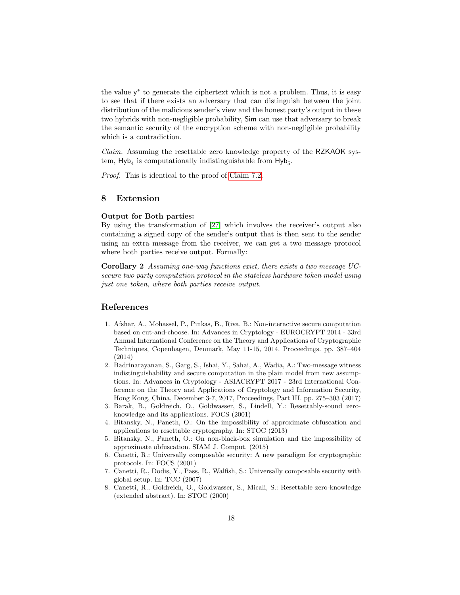the value y ∗ to generate the ciphertext which is not a problem. Thus, it is easy to see that if there exists an adversary that can distinguish between the joint distribution of the malicious sender's view and the honest party's output in these two hybrids with non-negligible probability, Sim can use that adversary to break the semantic security of the encryption scheme with non-negligible probability which is a contradiction.

Claim. Assuming the resettable zero knowledge property of the RZKAOK system,  $\mathsf{Hyb}_4$  is computationally indistinguishable from  $\mathsf{Hyb}_5$ .

Proof. This is identical to the proof of [Claim 7.2.](#page-14-1)

### 8 Extension

### Output for Both parties:

By using the transformation of [\[27\]](#page-18-5) which involves the receiver's output also containing a signed copy of the sender's output that is then sent to the sender using an extra message from the receiver, we can get a two message protocol where both parties receive output. Formally:

Corollary 2 Assuming one-way functions exist, there exists a two message UCsecure two party computation protocol in the stateless hardware token model using just one token, where both parties receive output.

# References

- <span id="page-17-0"></span>1. Afshar, A., Mohassel, P., Pinkas, B., Riva, B.: Non-interactive secure computation based on cut-and-choose. In: Advances in Cryptology - EUROCRYPT 2014 - 33rd Annual International Conference on the Theory and Applications of Cryptographic Techniques, Copenhagen, Denmark, May 11-15, 2014. Proceedings. pp. 387–404 (2014)
- <span id="page-17-1"></span>2. Badrinarayanan, S., Garg, S., Ishai, Y., Sahai, A., Wadia, A.: Two-message witness indistinguishability and secure computation in the plain model from new assumptions. In: Advances in Cryptology - ASIACRYPT 2017 - 23rd International Conference on the Theory and Applications of Cryptology and Information Security, Hong Kong, China, December 3-7, 2017, Proceedings, Part III. pp. 275–303 (2017)
- <span id="page-17-5"></span>3. Barak, B., Goldreich, O., Goldwasser, S., Lindell, Y.: Resettably-sound zeroknowledge and its applications. FOCS (2001)
- <span id="page-17-6"></span>4. Bitansky, N., Paneth, O.: On the impossibility of approximate obfuscation and applications to resettable cryptography. In: STOC (2013)
- <span id="page-17-7"></span>5. Bitansky, N., Paneth, O.: On non-black-box simulation and the impossibility of approximate obfuscation. SIAM J. Comput. (2015)
- <span id="page-17-2"></span>6. Canetti, R.: Universally composable security: A new paradigm for cryptographic protocols. In: FOCS (2001)
- <span id="page-17-3"></span>7. Canetti, R., Dodis, Y., Pass, R., Walfish, S.: Universally composable security with global setup. In: TCC (2007)
- <span id="page-17-4"></span>8. Canetti, R., Goldreich, O., Goldwasser, S., Micali, S.: Resettable zero-knowledge (extended abstract). In: STOC (2000)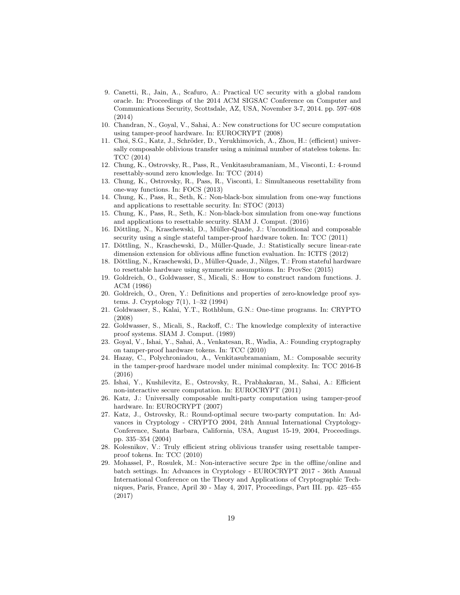- <span id="page-18-3"></span>9. Canetti, R., Jain, A., Scafuro, A.: Practical UC security with a global random oracle. In: Proceedings of the 2014 ACM SIGSAC Conference on Computer and Communications Security, Scottsdale, AZ, USA, November 3-7, 2014. pp. 597–608 (2014)
- <span id="page-18-18"></span>10. Chandran, N., Goyal, V., Sahai, A.: New constructions for UC secure computation using tamper-proof hardware. In: EUROCRYPT (2008)
- <span id="page-18-7"></span>11. Choi, S.G., Katz, J., Schröder, D., Yerukhimovich, A., Zhou, H.: (efficient) universally composable oblivious transfer using a minimal number of stateless tokens. In: TCC (2014)
- <span id="page-18-12"></span>12. Chung, K., Ostrovsky, R., Pass, R., Venkitasubramaniam, M., Visconti, I.: 4-round resettably-sound zero knowledge. In: TCC (2014)
- <span id="page-18-11"></span>13. Chung, K., Ostrovsky, R., Pass, R., Visconti, I.: Simultaneous resettability from one-way functions. In: FOCS (2013)
- <span id="page-18-10"></span>14. Chung, K., Pass, R., Seth, K.: Non-black-box simulation from one-way functions and applications to resettable security. In: STOC (2013)
- <span id="page-18-13"></span>15. Chung, K., Pass, R., Seth, K.: Non-black-box simulation from one-way functions and applications to resettable security. SIAM J. Comput. (2016)
- <span id="page-18-16"></span>16. Döttling, N., Kraschewski, D., Müller-Quade, J.: Unconditional and composable security using a single stateful tamper-proof hardware token. In: TCC (2011)
- <span id="page-18-17"></span>17. Döttling, N., Kraschewski, D., Müller-Quade, J.: Statistically secure linear-rate dimension extension for oblivious affine function evaluation. In: ICITS (2012)
- <span id="page-18-8"></span>18. Döttling, N., Kraschewski, D., Müller-Quade, J., Nilges, T.: From stateful hardware to resettable hardware using symmetric assumptions. In: ProvSec (2015)
- <span id="page-18-19"></span>19. Goldreich, O., Goldwasser, S., Micali, S.: How to construct random functions. J. ACM (1986)
- <span id="page-18-1"></span>20. Goldreich, O., Oren, Y.: Definitions and properties of zero-knowledge proof systems. J. Cryptology 7(1), 1–32 (1994)
- <span id="page-18-14"></span>21. Goldwasser, S., Kalai, Y.T., Rothblum, G.N.: One-time programs. In: CRYPTO (2008)
- <span id="page-18-20"></span>22. Goldwasser, S., Micali, S., Rackoff, C.: The knowledge complexity of interactive proof systems. SIAM J. Comput. (1989)
- <span id="page-18-6"></span>23. Goyal, V., Ishai, Y., Sahai, A., Venkatesan, R., Wadia, A.: Founding cryptography on tamper-proof hardware tokens. In: TCC (2010)
- <span id="page-18-9"></span>24. Hazay, C., Polychroniadou, A., Venkitasubramaniam, M.: Composable security in the tamper-proof hardware model under minimal complexity. In: TCC 2016-B (2016)
- <span id="page-18-0"></span>25. Ishai, Y., Kushilevitz, E., Ostrovsky, R., Prabhakaran, M., Sahai, A.: Efficient non-interactive secure computation. In: EUROCRYPT (2011)
- <span id="page-18-4"></span>26. Katz, J.: Universally composable multi-party computation using tamper-proof hardware. In: EUROCRYPT (2007)
- <span id="page-18-5"></span>27. Katz, J., Ostrovsky, R.: Round-optimal secure two-party computation. In: Advances in Cryptology - CRYPTO 2004, 24th Annual International Cryptology-Conference, Santa Barbara, California, USA, August 15-19, 2004, Proceedings. pp. 335–354 (2004)
- <span id="page-18-15"></span>28. Kolesnikov, V.: Truly efficient string oblivious transfer using resettable tamperproof tokens. In: TCC (2010)
- <span id="page-18-2"></span>29. Mohassel, P., Rosulek, M.: Non-interactive secure 2pc in the offline/online and batch settings. In: Advances in Cryptology - EUROCRYPT 2017 - 36th Annual International Conference on the Theory and Applications of Cryptographic Techniques, Paris, France, April 30 - May 4, 2017, Proceedings, Part III. pp. 425–455 (2017)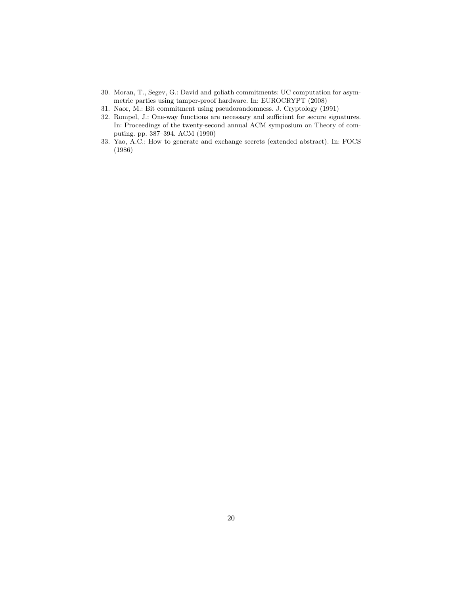- <span id="page-19-1"></span>30. Moran, T., Segev, G.: David and goliath commitments: UC computation for asymmetric parties using tamper-proof hardware. In: EUROCRYPT (2008)
- <span id="page-19-3"></span>31. Naor, M.: Bit commitment using pseudorandomness. J. Cryptology (1991)
- <span id="page-19-2"></span>32. Rompel, J.: One-way functions are necessary and sufficient for secure signatures. In: Proceedings of the twenty-second annual ACM symposium on Theory of computing. pp. 387–394. ACM (1990)
- <span id="page-19-0"></span>33. Yao, A.C.: How to generate and exchange secrets (extended abstract). In: FOCS (1986)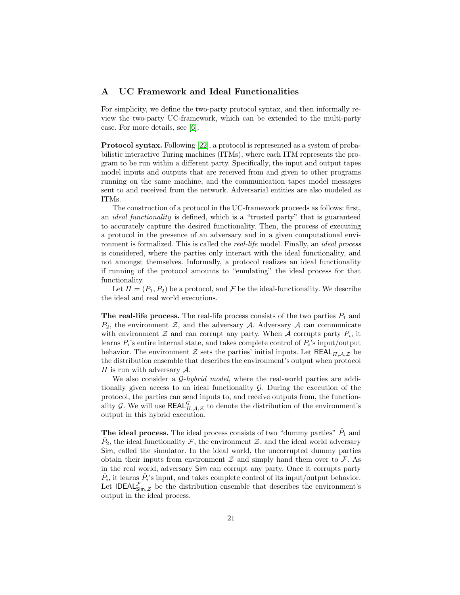# <span id="page-20-0"></span>A UC Framework and Ideal Functionalities

For simplicity, we define the two-party protocol syntax, and then informally review the two-party UC-framework, which can be extended to the multi-party case. For more details, see [\[6\]](#page-17-2).

Protocol syntax. Following [\[22\]](#page-18-20), a protocol is represented as a system of probabilistic interactive Turing machines (ITMs), where each ITM represents the program to be run within a different party. Specifically, the input and output tapes model inputs and outputs that are received from and given to other programs running on the same machine, and the communication tapes model messages sent to and received from the network. Adversarial entities are also modeled as ITMs.

The construction of a protocol in the UC-framework proceeds as follows: first, an ideal functionality is defined, which is a "trusted party" that is guaranteed to accurately capture the desired functionality. Then, the process of executing a protocol in the presence of an adversary and in a given computational environment is formalized. This is called the *real-life* model. Finally, an *ideal process* is considered, where the parties only interact with the ideal functionality, and not amongst themselves. Informally, a protocol realizes an ideal functionality if running of the protocol amounts to "emulating" the ideal process for that functionality.

Let  $\Pi = (P_1, P_2)$  be a protocol, and  $\mathcal F$  be the ideal-functionality. We describe the ideal and real world executions.

The real-life process. The real-life process consists of the two parties  $P_1$  and  $P_2$ , the environment  $\mathcal{Z}$ , and the adversary  $\mathcal{A}$ . Adversary  $\mathcal{A}$  can communicate with environment  $\mathcal Z$  and can corrupt any party. When  $\mathcal A$  corrupts party  $P_i$ , it learns  $P_i$ 's entire internal state, and takes complete control of  $P_i$ 's input/output behavior. The environment Z sets the parties' initial inputs. Let  $REAL_{\Pi,A,Z}$  be the distribution ensemble that describes the environment's output when protocol  $\Pi$  is run with adversary  $\mathcal{A}$ .

We also consider a  $G$ -hybrid model, where the real-world parties are additionally given access to an ideal functionality  $G$ . During the execution of the protocol, the parties can send inputs to, and receive outputs from, the functionality G. We will use  $\mathsf{REAL}_{\Pi,\mathcal{A},\mathcal{Z}}^{\mathcal{G}}$  to denote the distribution of the environment's output in this hybrid execution.

The ideal process. The ideal process consists of two "dummy parties"  $\hat{P}_1$  and  $\hat{P}_2$ , the ideal functionality  $\mathcal{F}$ , the environment  $\mathcal{Z}$ , and the ideal world adversary Sim, called the simulator. In the ideal world, the uncorrupted dummy parties obtain their inputs from environment  $\mathcal Z$  and simply hand them over to  $\mathcal F$ . As in the real world, adversary Sim can corrupt any party. Once it corrupts party  $\hat{P}_i$ , it learns  $\hat{P}_i$ 's input, and takes complete control of its input/output behavior. Let IDEAL $_{\mathsf{Sim},\mathcal{Z}}^{\mathcal{F}}$  be the distribution ensemble that describes the environment's output in the ideal process.